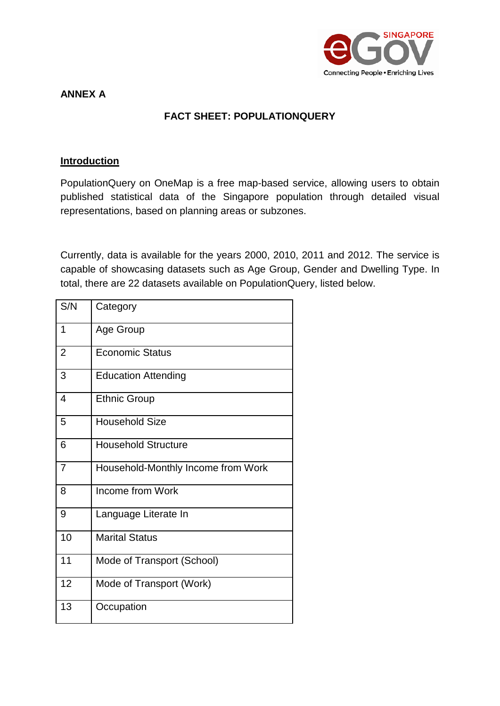

### **ANNEX A**

## **FACT SHEET: POPULATIONQUERY**

#### **Introduction**

PopulationQuery on OneMap is a free map-based service, allowing users to obtain published statistical data of the Singapore population through detailed visual representations, based on planning areas or subzones.

Currently, data is available for the years 2000, 2010, 2011 and 2012. The service is capable of showcasing datasets such as Age Group, Gender and Dwelling Type. In total, there are 22 datasets available on PopulationQuery, listed below.

| S/N            | Category                           |
|----------------|------------------------------------|
| 1              | Age Group                          |
| $\overline{2}$ | <b>Economic Status</b>             |
| 3              | <b>Education Attending</b>         |
| 4              | <b>Ethnic Group</b>                |
| 5              | <b>Household Size</b>              |
| 6              | <b>Household Structure</b>         |
| $\overline{7}$ | Household-Monthly Income from Work |
| 8              | Income from Work                   |
| 9              | Language Literate In               |
| 10             | <b>Marital Status</b>              |
| 11             | Mode of Transport (School)         |
| 12             | Mode of Transport (Work)           |
| 13             | Occupation                         |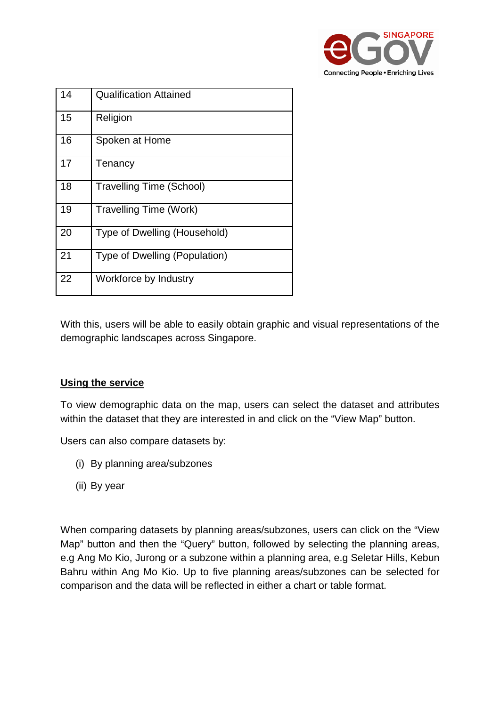

| 14 | <b>Qualification Attained</b>   |
|----|---------------------------------|
| 15 | Religion                        |
| 16 | Spoken at Home                  |
| 17 | Tenancy                         |
| 18 | <b>Travelling Time (School)</b> |
| 19 | <b>Travelling Time (Work)</b>   |
| 20 | Type of Dwelling (Household)    |
| 21 | Type of Dwelling (Population)   |
| 22 | Workforce by Industry           |

With this, users will be able to easily obtain graphic and visual representations of the demographic landscapes across Singapore.

## **Using the service**

To view demographic data on the map, users can select the dataset and attributes within the dataset that they are interested in and click on the "View Map" button.

Users can also compare datasets by:

- (i) By planning area/subzones
- (ii) By year

When comparing datasets by planning areas/subzones, users can click on the "View Map" button and then the "Query" button, followed by selecting the planning areas, e.g Ang Mo Kio, Jurong or a subzone within a planning area, e.g Seletar Hills, Kebun Bahru within Ang Mo Kio. Up to five planning areas/subzones can be selected for comparison and the data will be reflected in either a chart or table format.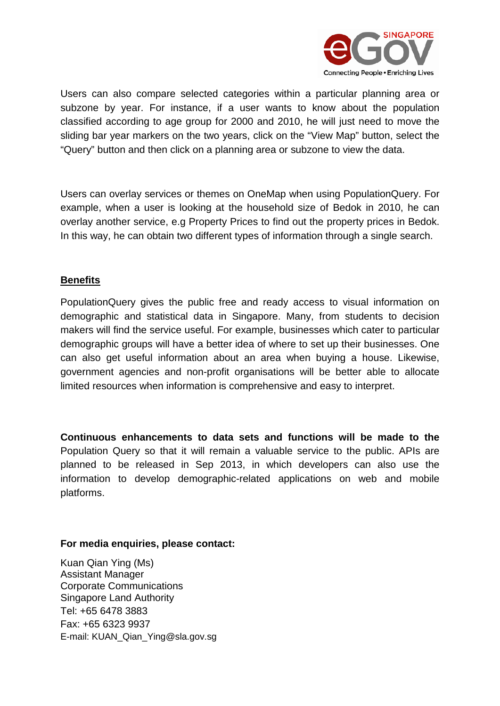

Users can also compare selected categories within a particular planning area or subzone by year. For instance, if a user wants to know about the population classified according to age group for 2000 and 2010, he will just need to move the sliding bar year markers on the two years, click on the "View Map" button, select the "Query" button and then click on a planning area or subzone to view the data.

Users can overlay services or themes on OneMap when using PopulationQuery. For example, when a user is looking at the household size of Bedok in 2010, he can overlay another service, e.g Property Prices to find out the property prices in Bedok. In this way, he can obtain two different types of information through a single search.

### **Benefits**

PopulationQuery gives the public free and ready access to visual information on demographic and statistical data in Singapore. Many, from students to decision makers will find the service useful. For example, businesses which cater to particular demographic groups will have a better idea of where to set up their businesses. One can also get useful information about an area when buying a house. Likewise, government agencies and non-profit organisations will be better able to allocate limited resources when information is comprehensive and easy to interpret.

**Continuous enhancements to data sets and functions will be made to the**  Population Query so that it will remain a valuable service to the public. APIs are planned to be released in Sep 2013, in which developers can also use the information to develop demographic-related applications on web and mobile platforms.

#### **For media enquiries, please contact:**

Kuan Qian Ying (Ms) Assistant Manager Corporate Communications Singapore Land Authority Tel: +65 6478 3883 Fax: +65 6323 9937 E-mail: KUAN\_Qian\_Ying@sla.gov.sg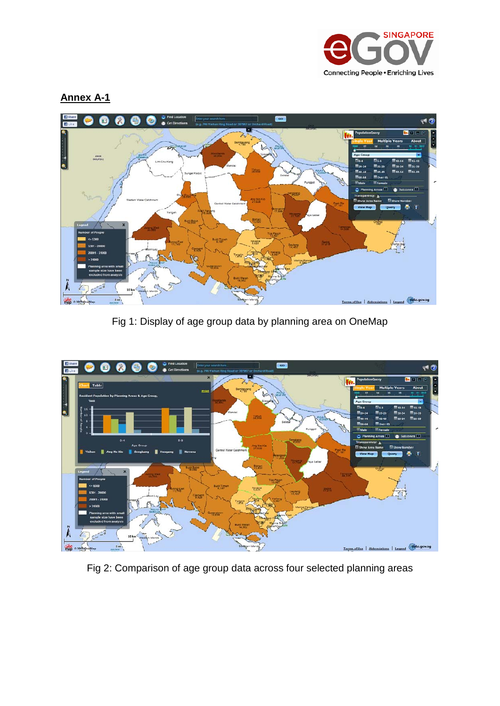

**Annex A-1**



Fig 1: Display of age group data by planning area on OneMap



Fig 2: Comparison of age group data across four selected planning areas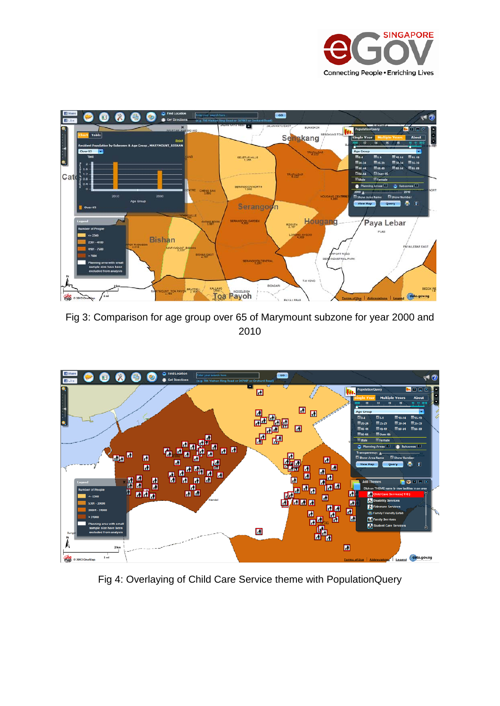



Fig 3: Comparison for age group over 65 of Marymount subzone for year 2000 and 2010



Fig 4: Overlaying of Child Care Service theme with PopulationQuery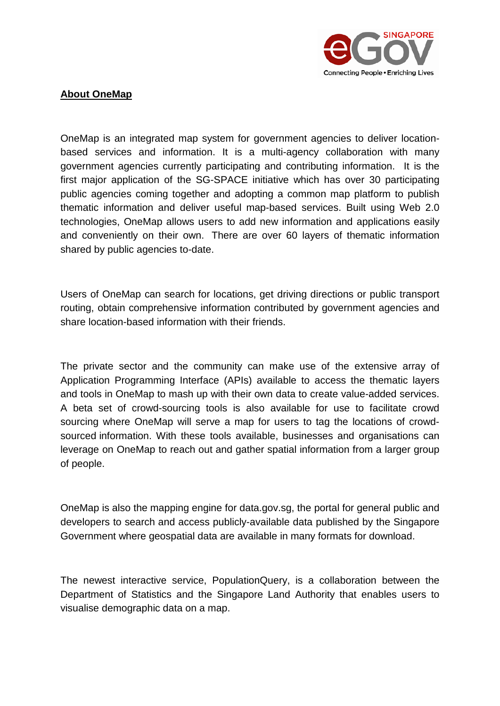

### **About OneMap**

OneMap is an integrated map system for government agencies to deliver locationbased services and information. It is a multi-agency collaboration with many government agencies currently participating and contributing information. It is the first major application of the SG-SPACE initiative which has over 30 participating public agencies coming together and adopting a common map platform to publish thematic information and deliver useful map-based services. Built using Web 2.0 technologies, OneMap allows users to add new information and applications easily and conveniently on their own. There are over 60 layers of thematic information shared by public agencies to-date.

Users of OneMap can search for locations, get driving directions or public transport routing, obtain comprehensive information contributed by government agencies and share location-based information with their friends.

The private sector and the community can make use of the extensive array of Application Programming Interface (APIs) available to access the thematic layers and tools in OneMap to mash up with their own data to create value-added services. A beta set of crowd-sourcing tools is also available for use to facilitate crowd sourcing where OneMap will serve a map for users to tag the locations of crowdsourced information. With these tools available, businesses and organisations can leverage on OneMap to reach out and gather spatial information from a larger group of people.

OneMap is also the mapping engine for data.gov.sg, the portal for general public and developers to search and access publicly-available data published by the Singapore Government where geospatial data are available in many formats for download.

The newest interactive service, PopulationQuery, is a collaboration between the Department of Statistics and the Singapore Land Authority that enables users to visualise demographic data on a map.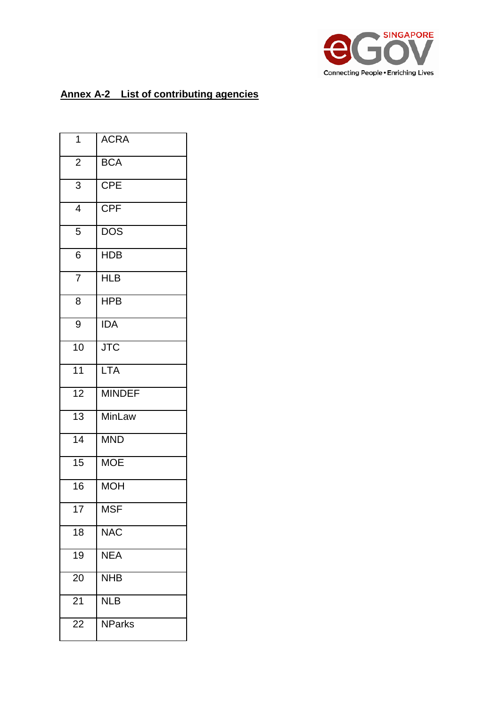

# **Annex A-2 List of contributing agencies**

| 1               | <b>ACRA</b>             |
|-----------------|-------------------------|
| $\overline{c}$  | BCA                     |
| $\overline{3}$  | $\overline{CPE}$        |
| $\overline{4}$  | <b>CPF</b>              |
| $\overline{5}$  | $\overline{\text{DOS}}$ |
| $\overline{6}$  | <b>HDB</b>              |
| $\overline{7}$  | <b>HLB</b>              |
| 8               | <b>HPB</b>              |
| 9               | <b>IDA</b>              |
| 10              | $\overline{\text{JTC}}$ |
| 11              | <b>LTA</b>              |
| $\overline{12}$ | <b>MINDEF</b>           |
| 13              | <b>MinLaw</b>           |
| $\overline{14}$ | <b>MND</b>              |
| $\overline{15}$ | <b>MOE</b>              |
| 16              | <b>MOH</b>              |
| 17              | <b>MSF</b>              |
| 18              | <b>NAC</b>              |
| 19              | <b>NEA</b>              |
| $\overline{20}$ | <b>NHB</b>              |
| 21              | <b>NLB</b>              |
| 22              | <b>NParks</b>           |
|                 |                         |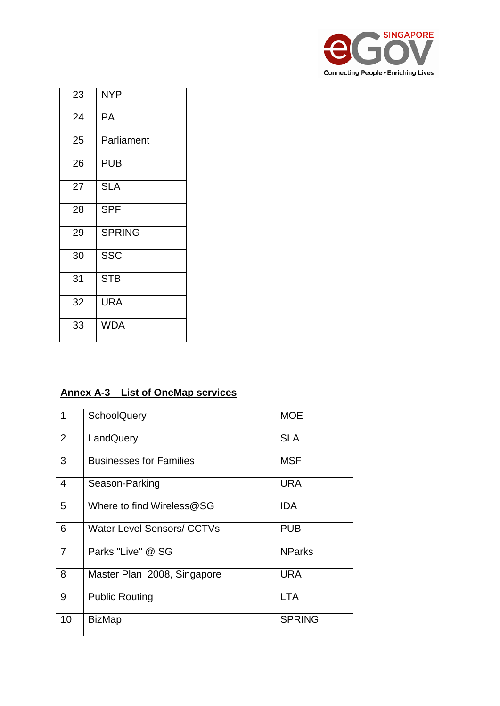

| 23 | <b>NYP</b>    |
|----|---------------|
| 24 | PA            |
| 25 | Parliament    |
| 26 | <b>PUB</b>    |
| 27 | <b>SLA</b>    |
| 28 | <b>SPF</b>    |
| 29 | <b>SPRING</b> |
| 30 | <b>SSC</b>    |
| 31 | <b>STB</b>    |
| 32 | URA           |
| 33 | <b>WDA</b>    |

## **Annex A-3 List of OneMap service s**

| 1              | <b>SchoolQuery</b>                | <b>MOE</b>    |
|----------------|-----------------------------------|---------------|
| 2              | LandQuery                         | <b>SLA</b>    |
| 3              | <b>Businesses for Families</b>    | <b>MSF</b>    |
| $\overline{4}$ | Season-Parking                    | <b>URA</b>    |
| 5              | Where to find Wireless@SG         | <b>IDA</b>    |
| 6              | <b>Water Level Sensors/ CCTVs</b> | <b>PUB</b>    |
| $\overline{7}$ | Parks "Live" @ SG                 | <b>NParks</b> |
| 8              | Master Plan 2008, Singapore       | <b>URA</b>    |
| 9              | <b>Public Routing</b>             | <b>LTA</b>    |
| 10             | <b>BizMap</b>                     | <b>SPRING</b> |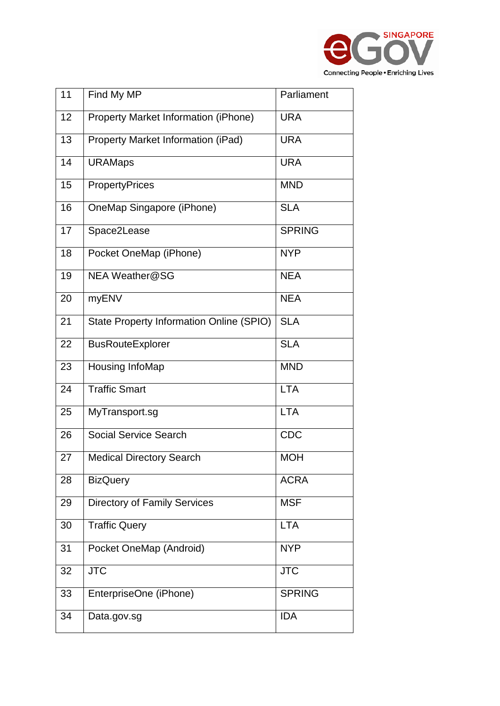

| 11 | Find My MP                                      | Parliament    |
|----|-------------------------------------------------|---------------|
| 12 | Property Market Information (iPhone)            | <b>URA</b>    |
| 13 | Property Market Information (iPad)              | <b>URA</b>    |
| 14 | <b>URAMaps</b>                                  | <b>URA</b>    |
| 15 | PropertyPrices                                  | <b>MND</b>    |
| 16 | OneMap Singapore (iPhone)                       | <b>SLA</b>    |
| 17 | Space2Lease                                     | <b>SPRING</b> |
| 18 | Pocket OneMap (iPhone)                          | <b>NYP</b>    |
| 19 | NEA Weather@SG                                  | <b>NEA</b>    |
| 20 | myENV                                           | <b>NEA</b>    |
| 21 | <b>State Property Information Online (SPIO)</b> | <b>SLA</b>    |
| 22 | <b>BusRouteExplorer</b>                         | <b>SLA</b>    |
| 23 | Housing InfoMap                                 | <b>MND</b>    |
| 24 | <b>Traffic Smart</b>                            | <b>LTA</b>    |
| 25 | MyTransport.sg                                  | <b>LTA</b>    |
| 26 | <b>Social Service Search</b>                    | <b>CDC</b>    |
| 27 | <b>Medical Directory Search</b>                 | <b>MOH</b>    |
| 28 | <b>BizQuery</b>                                 | <b>ACRA</b>   |
| 29 | <b>Directory of Family Services</b>             | <b>MSF</b>    |
| 30 | <b>Traffic Query</b>                            | <b>LTA</b>    |
| 31 | Pocket OneMap (Android)                         | <b>NYP</b>    |
| 32 | <b>JTC</b>                                      | <b>JTC</b>    |
| 33 | EnterpriseOne (iPhone)                          | <b>SPRING</b> |
| 34 | Data.gov.sg                                     | <b>IDA</b>    |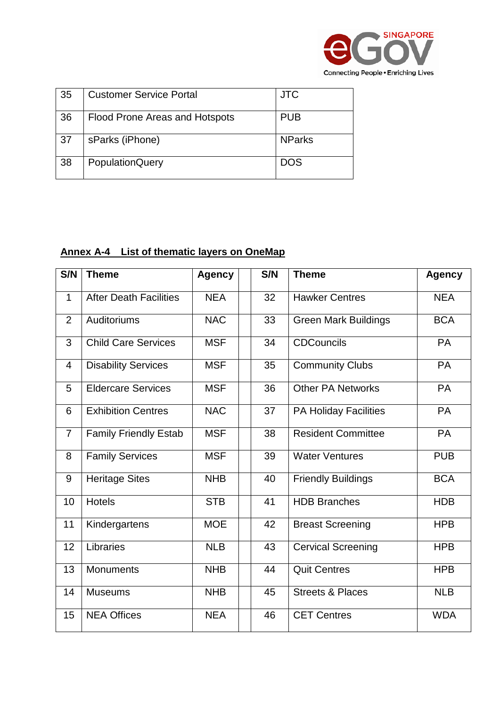

| 35 | <b>Customer Service Portal</b> | <b>JTC</b>    |
|----|--------------------------------|---------------|
| 36 | Flood Prone Areas and Hotspots | <b>PUB</b>    |
| 37 | sParks (iPhone)                | <b>NParks</b> |
| 38 | <b>PopulationQuery</b>         | <b>DOS</b>    |

## **Annex A-4 List of thematic layers on OneMap**

| S/N            | <b>Theme</b>                  | <b>Agency</b> | S/N | <b>Theme</b>                 | <b>Agency</b> |
|----------------|-------------------------------|---------------|-----|------------------------------|---------------|
| $\mathbf 1$    | <b>After Death Facilities</b> | <b>NEA</b>    | 32  | <b>Hawker Centres</b>        | <b>NEA</b>    |
| 2              | Auditoriums                   | <b>NAC</b>    | 33  | <b>Green Mark Buildings</b>  | <b>BCA</b>    |
| 3              | <b>Child Care Services</b>    | <b>MSF</b>    | 34  | <b>CDCouncils</b>            | <b>PA</b>     |
| 4              | <b>Disability Services</b>    | <b>MSF</b>    | 35  | <b>Community Clubs</b>       | PA            |
| 5              | <b>Eldercare Services</b>     | <b>MSF</b>    | 36  | <b>Other PA Networks</b>     | <b>PA</b>     |
| 6              | <b>Exhibition Centres</b>     | <b>NAC</b>    | 37  | <b>PA Holiday Facilities</b> | <b>PA</b>     |
| $\overline{7}$ | <b>Family Friendly Estab</b>  | <b>MSF</b>    | 38  | <b>Resident Committee</b>    | PA            |
| 8              | <b>Family Services</b>        | <b>MSF</b>    | 39  | <b>Water Ventures</b>        | <b>PUB</b>    |
| 9              | <b>Heritage Sites</b>         | <b>NHB</b>    | 40  | <b>Friendly Buildings</b>    | <b>BCA</b>    |
| 10             | <b>Hotels</b>                 | <b>STB</b>    | 41  | <b>HDB Branches</b>          | <b>HDB</b>    |
| 11             | Kindergartens                 | <b>MOE</b>    | 42  | <b>Breast Screening</b>      | <b>HPB</b>    |
| 12             | Libraries                     | <b>NLB</b>    | 43  | <b>Cervical Screening</b>    | <b>HPB</b>    |
| 13             | <b>Monuments</b>              | <b>NHB</b>    | 44  | <b>Quit Centres</b>          | <b>HPB</b>    |
| 14             | <b>Museums</b>                | <b>NHB</b>    | 45  | <b>Streets &amp; Places</b>  | <b>NLB</b>    |
| 15             | <b>NEA Offices</b>            | <b>NEA</b>    | 46  | <b>CET Centres</b>           | <b>WDA</b>    |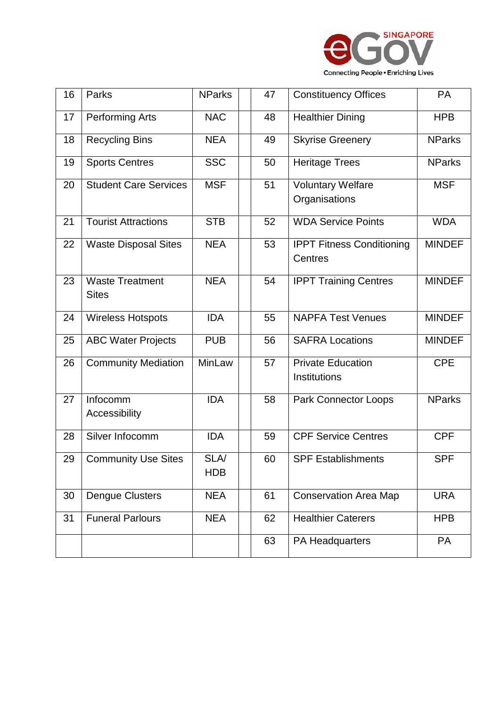

| 16 | Parks                                  | <b>NParks</b>             | 47 | <b>Constituency Offices</b>                 | <b>PA</b>     |
|----|----------------------------------------|---------------------------|----|---------------------------------------------|---------------|
| 17 | Performing Arts                        | <b>NAC</b>                | 48 | <b>Healthier Dining</b>                     | <b>HPB</b>    |
| 18 | <b>Recycling Bins</b>                  | <b>NEA</b>                | 49 | <b>Skyrise Greenery</b>                     | <b>NParks</b> |
| 19 | <b>Sports Centres</b>                  | <b>SSC</b>                | 50 | <b>Heritage Trees</b>                       | <b>NParks</b> |
| 20 | <b>Student Care Services</b>           | <b>MSF</b>                | 51 | <b>Voluntary Welfare</b><br>Organisations   | <b>MSF</b>    |
| 21 | <b>Tourist Attractions</b>             | <b>STB</b>                | 52 | <b>WDA Service Points</b>                   | <b>WDA</b>    |
| 22 | <b>Waste Disposal Sites</b>            | <b>NEA</b>                | 53 | <b>IPPT Fitness Conditioning</b><br>Centres | <b>MINDEF</b> |
| 23 | <b>Waste Treatment</b><br><b>Sites</b> | <b>NEA</b>                | 54 | <b>IPPT Training Centres</b>                | <b>MINDEF</b> |
| 24 | <b>Wireless Hotspots</b>               | <b>IDA</b>                | 55 | <b>NAPFA Test Venues</b>                    | <b>MINDEF</b> |
| 25 | <b>ABC Water Projects</b>              | <b>PUB</b>                | 56 | <b>SAFRA Locations</b>                      | <b>MINDEF</b> |
| 26 | <b>Community Mediation</b>             | MinLaw                    | 57 | <b>Private Education</b><br>Institutions    | <b>CPE</b>    |
| 27 | Infocomm<br>Accessibility              | <b>IDA</b>                | 58 | <b>Park Connector Loops</b>                 | <b>NParks</b> |
| 28 | Silver Infocomm                        | <b>IDA</b>                | 59 | <b>CPF Service Centres</b>                  | <b>CPF</b>    |
| 29 | <b>Community Use Sites</b>             | <b>SLA/</b><br><b>HDB</b> | 60 | <b>SPF Establishments</b>                   | <b>SPF</b>    |
| 30 | <b>Dengue Clusters</b>                 | <b>NEA</b>                | 61 | <b>Conservation Area Map</b>                | <b>URA</b>    |
| 31 | <b>Funeral Parlours</b>                | <b>NEA</b>                | 62 | <b>Healthier Caterers</b>                   | <b>HPB</b>    |
|    |                                        |                           | 63 | PA Headquarters                             | PA            |